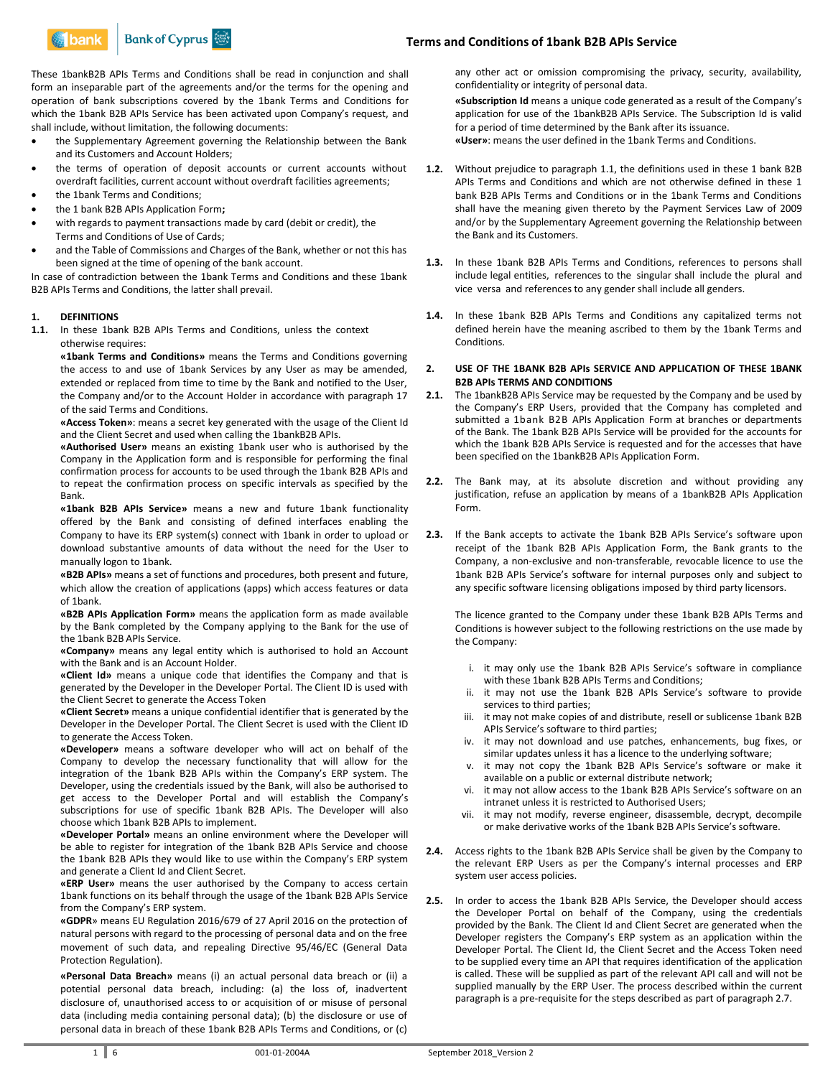

These 1bankB2B APIs Terms and Conditions shall be read in conjunction and shall form an inseparable part of the agreements and/or the terms for the opening and operation of bank subscriptions covered by the 1bank Terms and Conditions for which the 1bank B2B APIs Service has been activated upon Company's request, and shall include, without limitation, the following documents:

- the Supplementary Agreement governing the Relationship between the Bank and its Customers and Account Holders;
- the terms of operation of deposit accounts or current accounts without overdraft facilities, current account without overdraft facilities agreements;
- the 1bank Terms and Conditions;
- the 1 bank B2B APIs Application Form**;**
- with regards to payment transactions made by card (debit or credit), the Terms and Conditions of Use of Cards;
- and the Table of Commissions and Charges of the Bank, whether or not this has been signed at the time of opening of the bank account.

In case of contradiction between the 1bank Terms and Conditions and these 1bank B2B APIs Terms and Conditions, the latter shall prevail.

## **1. DEFINITIONS**

**1.1.** In these 1bank B2B APIs Terms and Conditions, unless the context otherwise requires:

**«1bank Terms and Conditions»** means the Terms and Conditions governing the access to and use of 1bank Services by any User as may be amended, extended or replaced from time to time by the Bank and notified to the User, the Company and/or to the Account Holder in accordance with paragraph 17 of the said Terms and Conditions.

**«Access Token»**: means a secret key generated with the usage of the Client Id and the Client Secret and used when calling the 1bankB2B APIs.

**«Authorised User»** means an existing 1bank user who is authorised by the Company in the Application form and is responsible for performing the final confirmation process for accounts to be used through the 1bank B2B APIs and to repeat the confirmation process on specific intervals as specified by the Bank.

**«1bank B2B APIs Service»** means a new and future 1bank functionality offered by the Bank and consisting of defined interfaces enabling the Company to have its ERP system(s) connect with 1bank in order to upload or download substantive amounts of data without the need for the User to manually logon to 1bank.

**«B2B APIs»** means a set of functions and procedures, both present and future, which allow the creation of applications (apps) which access features or data of 1bank.

**«B2B APIs Application Form»** means the application form as made available by the Bank completed by the Company applying to the Bank for the use of the 1bank B2B APIs Service.

**«Company»** means any legal entity which is authorised to hold an Account with the Bank and is an Account Holder.

**«Client Id»** means a unique code that identifies the Company and that is generated by the Developer in the Developer Portal. The Client ID is used with the Client Secret to generate the Access Token

**«Client Secret»** means a unique confidential identifier that is generated by the Developer in the Developer Portal. The Client Secret is used with the Client ID to generate the Access Token.

**«Developer»** means a software developer who will act on behalf of the Company to develop the necessary functionality that will allow for the integration of the 1bank B2B APIs within the Company's ERP system. The Developer, using the credentials issued by the Bank, will also be authorised to get access to the Developer Portal and will establish the Company's subscriptions for use of specific 1bank B2B APIs. The Developer will also choose which 1bank B2B APIs to implement.

**«Developer Portal»** means an online environment where the Developer will be able to register for integration of the 1bank B2B APIs Service and choose the 1bank B2B APIs they would like to use within the Company's ERP system and generate a Client Id and Client Secret.

**«ERP User»** means the user authorised by the Company to access certain 1bank functions on its behalf through the usage of the 1bank B2B APIs Service from the Company's ERP system.

**«GDPR**» means EU Regulation 2016/679 of 27 April 2016 on the protection of natural persons with regard to the processing of personal data and on the free movement of such data, and repealing Directive 95/46/EC (General Data Protection Regulation).

**«Personal Data Breach»** means (i) an actual personal data breach or (ii) a potential personal data breach, including: (a) the loss of, inadvertent disclosure of, unauthorised access to or acquisition of or misuse of personal data (including media containing personal data); (b) the disclosure or use of personal data in breach of these 1bank B2B APIs Terms and Conditions, or (c)

# **Terms and Conditions of 1bank B2B APIs Service**

any other act or omission compromising the privacy, security, availability, confidentiality or integrity of personal data.

**«Subscription Id** means a unique code generated as a result of the Company's application for use of the 1bankB2B APIs Service. The Subscription Id is valid for a period of time determined by the Bank after its issuance. **«User»**: means the user defined in the 1bank Terms and Conditions.

- **1.2.** Without prejudice to paragraph 1.1, the definitions used in these 1 bank B2B APIs Terms and Conditions and which are not otherwise defined in these 1 bank B2B APIs Terms and Conditions or in the 1bank Terms and Conditions shall have the meaning given thereto by the Payment Services Law of 2009 and/or by the Supplementary Agreement governing the Relationship between the Bank and its Customers.
- **1.3.** In these 1bank B2B APIs Terms and Conditions, references to persons shall include legal entities, references to the singular shall include the plural and vice versa and references to any gender shall include all genders.
- **1.4.** In these 1bank B2B APIs Terms and Conditions any capitalized terms not defined herein have the meaning ascribed to them by the 1bank Terms and Conditions.

#### **2. USE OF THE 1BANK B2B APIs SERVICE AND APPLICATION OF THESE 1BANK B2B APIs TERMS AND CONDITIONS**

- **2.1.** The 1bankB2B APIs Service may be requested by the Company and be used by the Company's ERP Users, provided that the Company has completed and submitted a 1bank B2B APIs Application Form at branches or departments of the Bank. The 1bank B2B APIs Service will be provided for the accounts for which the 1bank B2B APIs Service is requested and for the accesses that have been specified on the 1bankB2B APIs Application Form.
- **2.2.** The Bank may, at its absolute discretion and without providing any justification, refuse an application by means of a 1bankB2B APIs Application Form.
- **2.3.** If the Bank accepts to activate the 1bank B2B APIs Service's software upon receipt of the 1bank B2B APIs Application Form, the Bank grants to the Company, a non-exclusive and non-transferable, revocable licence to use the 1bank B2B APIs Service's software for internal purposes only and subject to any specific software licensing obligations imposed by third party licensors.

The licence granted to the Company under these 1bank B2B APIs Terms and Conditions is however subject to the following restrictions on the use made by the Company:

- i. it may only use the 1bank B2B APIs Service's software in compliance with these 1bank B2B APIs Terms and Conditions;
- ii. it may not use the 1bank B2B APIs Service's software to provide services to third parties;
- iii. it may not make copies of and distribute, resell or sublicense 1bank B2B APIs Service's software to third parties;
- iv. it may not download and use patches, enhancements, bug fixes, or similar updates unless it has a licence to the underlying software;
- v. it may not copy the 1bank B2B APIs Service's software or make it available on a public or external distribute network;
- vi. it may not allow access to the 1bank B2B APIs Service's software on an intranet unless it is restricted to Authorised Users;
- it may not modify, reverse engineer, disassemble, decrypt, decompile or make derivative works of the 1bank B2B APIs Service's software.
- **2.4.** Access rights to the 1bank B2B APIs Service shall be given by the Company to the relevant ERP Users as per the Company's internal processes and ERP system user access policies.
- **2.5.** In order to access the 1bank B2B APIs Service, the Developer should access the Developer Portal on behalf of the Company, using the credentials provided by the Bank. The Client Id and Client Secret are generated when the Developer registers the Company's ERP system as an application within the Developer Portal. The Client Id, the Client Secret and the Access Token need to be supplied every time an API that requires identification of the application is called. These will be supplied as part of the relevant API call and will not be supplied manually by the ERP User. The process described within the current paragraph is a pre-requisite for the steps described as part of paragraph 2.7.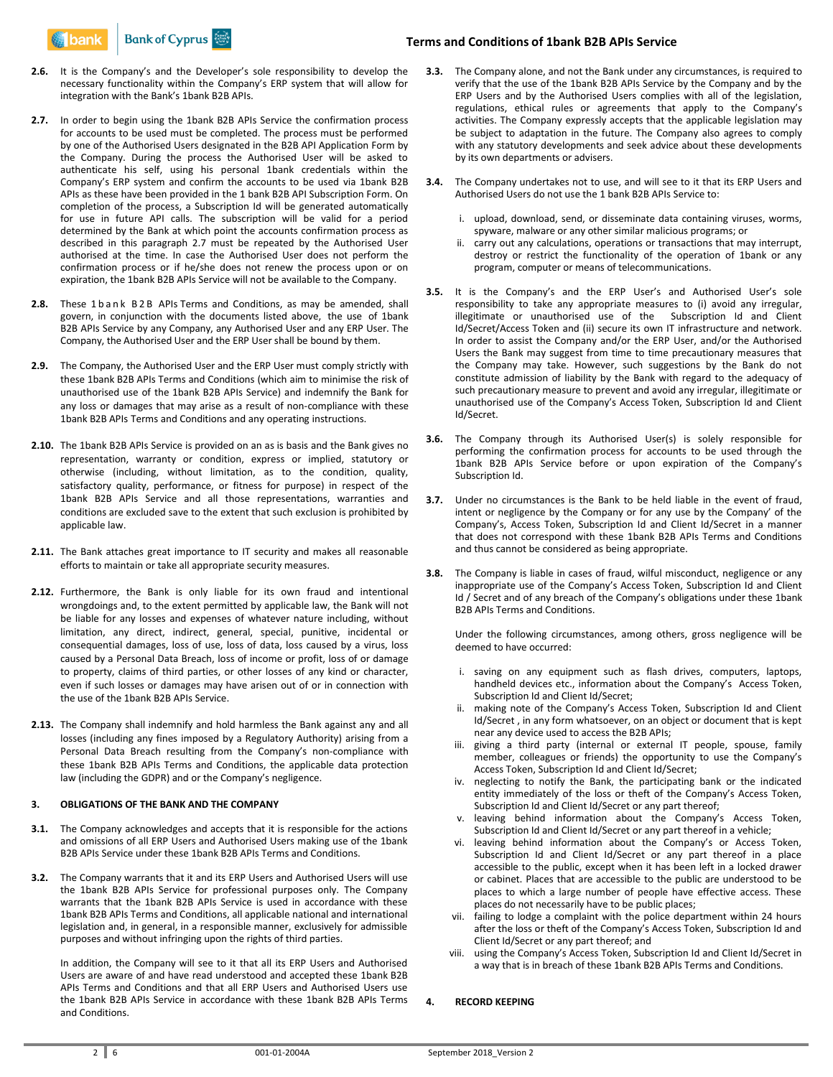

- **2.6.** It is the Company's and the Developer's sole responsibility to develop the necessary functionality within the Company's ERP system that will allow for integration with the Bank's 1bank B2B APIs.
- **2.7.** In order to begin using the 1bank B2B APIs Service the confirmation process for accounts to be used must be completed. The process must be performed by one of the Authorised Users designated in the B2B API Application Form by the Company. During the process the Authorised User will be asked to authenticate his self, using his personal 1bank credentials within the Company's ERP system and confirm the accounts to be used via 1bank B2B APIs as these have been provided in the 1 bank B2B API Subscription Form. On completion of the process, a Subscription Id will be generated automatically for use in future API calls. The subscription will be valid for a period determined by the Bank at which point the accounts confirmation process as described in this paragraph 2.7 must be repeated by the Authorised User authorised at the time. In case the Authorised User does not perform the confirmation process or if he/she does not renew the process upon or on expiration, the 1bank B2B APIs Service will not be available to the Company.
- 2.8. These 1 b a n k B 2 B APIs Terms and Conditions, as may be amended, shall govern, in conjunction with the documents listed above, the use of 1bank B2B APIs Service by any Company, any Authorised User and any ERP User. The Company, the Authorised User and the ERP User shall be bound by them.
- **2.9.** The Company, the Authorised User and the ERP User must comply strictly with these 1bank B2B APIs Terms and Conditions (which aim to minimise the risk of unauthorised use of the 1bank B2B APIs Service) and indemnify the Bank for any loss or damages that may arise as a result of non-compliance with these 1bank B2B APIs Terms and Conditions and any operating instructions.
- **2.10.** The 1bank B2B APIs Service is provided on an as is basis and the Bank gives no representation, warranty or condition, express or implied, statutory or otherwise (including, without limitation, as to the condition, quality, satisfactory quality, performance, or fitness for purpose) in respect of the 1bank B2B APIs Service and all those representations, warranties and conditions are excluded save to the extent that such exclusion is prohibited by applicable law.
- **2.11.** The Bank attaches great importance to IT security and makes all reasonable efforts to maintain or take all appropriate security measures.
- **2.12.** Furthermore, the Bank is only liable for its own fraud and intentional wrongdoings and, to the extent permitted by applicable law, the Bank will not be liable for any losses and expenses of whatever nature including, without limitation, any direct, indirect, general, special, punitive, incidental or consequential damages, loss of use, loss of data, loss caused by a virus, loss caused by a Personal Data Breach, loss of income or profit, loss of or damage to property, claims of third parties, or other losses of any kind or character, even if such losses or damages may have arisen out of or in connection with the use of the 1bank B2B APIs Service.
- **2.13.** The Company shall indemnify and hold harmless the Bank against any and all losses (including any fines imposed by a Regulatory Authority) arising from a Personal Data Breach resulting from the Company's non-compliance with these 1bank B2B APIs Terms and Conditions, the applicable data protection law (including the GDPR) and or the Company's negligence.

#### **3. OBLIGATIONS OF THE BANK AND THE COMPANY**

- **3.1.** The Company acknowledges and accepts that it is responsible for the actions and omissions of all ERP Users and Authorised Users making use of the 1bank B2B APIs Service under these 1bank B2B APIs Terms and Conditions.
- **3.2.** The Company warrants that it and its ERP Users and Authorised Users will use the 1bank B2B APIs Service for professional purposes only. The Company warrants that the 1bank B2B APIs Service is used in accordance with these 1bank B2B APIs Terms and Conditions, all applicable national and international legislation and, in general, in a responsible manner, exclusively for admissible purposes and without infringing upon the rights of third parties.

In addition, the Company will see to it that all its ERP Users and Authorised Users are aware of and have read understood and accepted these 1bank B2B APIs Terms and Conditions and that all ERP Users and Authorised Users use the 1bank B2B APIs Service in accordance with these 1bank B2B APIs Terms and Conditions.

## **Terms and Conditions of 1bank B2B APIs Service**

- **3.3.** The Company alone, and not the Bank under any circumstances, is required to verify that the use of the 1bank B2B APIs Service by the Company and by the ERP Users and by the Authorised Users complies with all of the legislation, regulations, ethical rules or agreements that apply to the Company's activities. The Company expressly accepts that the applicable legislation may be subject to adaptation in the future. The Company also agrees to comply with any statutory developments and seek advice about these developments by its own departments or advisers.
- **3.4.** The Company undertakes not to use, and will see to it that its ERP Users and Authorised Users do not use the 1 bank B2B APIs Service to:
	- i. upload, download, send, or disseminate data containing viruses, worms, spyware, malware or any other similar malicious programs; or
	- ii. carry out any calculations, operations or transactions that may interrupt, destroy or restrict the functionality of the operation of 1bank or any program, computer or means of telecommunications.
- **3.5.** It is the Company's and the ERP User's and Authorised User's sole responsibility to take any appropriate measures to (i) avoid any irregular, illegitimate or unauthorised use of the Subscription Id and Client Id/Secret/Access Token and (ii) secure its own IT infrastructure and network. In order to assist the Company and/or the ERP User, and/or the Authorised Users the Bank may suggest from time to time precautionary measures that the Company may take. However, such suggestions by the Bank do not constitute admission of liability by the Bank with regard to the adequacy of such precautionary measure to prevent and avoid any irregular, illegitimate or unauthorised use of the Company's Access Token, Subscription Id and Client Id/Secret.
- **3.6.** The Company through its Authorised User(s) is solely responsible for performing the confirmation process for accounts to be used through the 1bank B2B APIs Service before or upon expiration of the Company's Subscription Id.
- **3.7.** Under no circumstances is the Bank to be held liable in the event of fraud, intent or negligence by the Company or for any use by the Company' of the Company's, Access Token, Subscription Id and Client Id/Secret in a manner that does not correspond with these 1bank B2B APIs Terms and Conditions and thus cannot be considered as being appropriate.
- **3.8.** The Company is liable in cases of fraud, wilful misconduct, negligence or any inappropriate use of the Company's Access Token, Subscription Id and Client Id / Secret and of any breach of the Company's obligations under these 1bank B2B APIs Terms and Conditions.

Under the following circumstances, among others, gross negligence will be deemed to have occurred:

- i. saving on any equipment such as flash drives, computers, laptops, handheld devices etc., information about the Company's Access Token, Subscription Id and Client Id/Secret;
- ii. making note of the Company's Access Token, Subscription Id and Client Id/Secret , in any form whatsoever, on an object or document that is kept near any device used to access the B2B APIs;
- iii. giving a third party (internal or external IT people, spouse, family member, colleagues or friends) the opportunity to use the Company's Access Token, Subscription Id and Client Id/Secret;
- iv. neglecting to notify the Bank, the participating bank or the indicated entity immediately of the loss or theft of the Company's Access Token, Subscription Id and Client Id/Secret or any part thereof;
- v. leaving behind information about the Company's Access Token, Subscription Id and Client Id/Secret or any part thereof in a vehicle;
- vi. leaving behind information about the Company's or Access Token, Subscription Id and Client Id/Secret or any part thereof in a place accessible to the public, except when it has been left in a locked drawer or cabinet. Places that are accessible to the public are understood to be places to which a large number of people have effective access. These places do not necessarily have to be public places;
- vii. failing to lodge a complaint with the police department within 24 hours after the loss or theft of the Company's Access Token, Subscription Id and Client Id/Secret or any part thereof; and
- viii. using the Company's Access Token, Subscription Id and Client Id/Secret in a way that is in breach of these 1bank B2B APIs Terms and Conditions.

## **4. RECORD KEEPING**